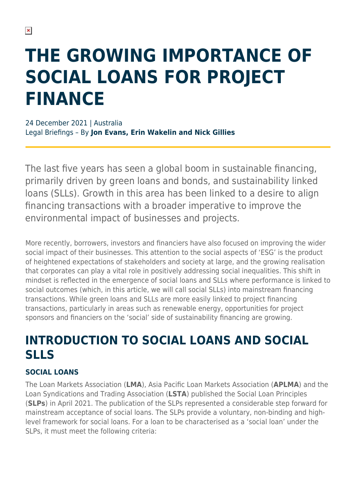# **THE GROWING IMPORTANCE OF SOCIAL LOANS FOR PROJECT FINANCE**

24 December 2021 | Australia Legal Briefings – By **Jon Evans, Erin Wakelin and Nick Gillies**

The last five years has seen a global boom in sustainable financing, primarily driven by green loans and bonds, and sustainability linked loans (SLLs). Growth in this area has been linked to a desire to align financing transactions with a broader imperative to improve the environmental impact of businesses and projects.

More recently, borrowers, investors and financiers have also focused on improving the wider social impact of their businesses. This attention to the social aspects of 'ESG' is the product of heightened expectations of stakeholders and society at large, and the growing realisation that corporates can play a vital role in positively addressing social inequalities. This shift in mindset is reflected in the emergence of social loans and SLLs where performance is linked to social outcomes (which, in this article, we will call social SLLs) into mainstream financing transactions. While green loans and SLLs are more easily linked to project financing transactions, particularly in areas such as renewable energy, opportunities for project sponsors and financiers on the 'social' side of sustainability financing are growing.

### **INTRODUCTION TO SOCIAL LOANS AND SOCIAL SLLS**

#### **SOCIAL LOANS**

The Loan Markets Association (**LMA**), Asia Pacific Loan Markets Association (**APLMA**) and the Loan Syndications and Trading Association (**LSTA**) published the Social Loan Principles (**SLPs**) in April 2021. The publication of the SLPs represented a considerable step forward for mainstream acceptance of social loans. The SLPs provide a voluntary, non-binding and highlevel framework for social loans. For a loan to be characterised as a 'social loan' under the SLPs, it must meet the following criteria: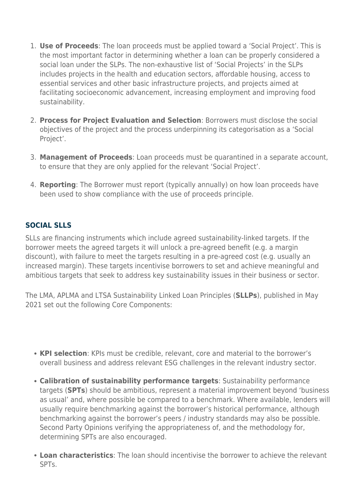- 1. **Use of Proceeds**: The loan proceeds must be applied toward a 'Social Project'. This is the most important factor in determining whether a loan can be properly considered a social loan under the SLPs. The non-exhaustive list of 'Social Projects' in the SLPs includes projects in the health and education sectors, affordable housing, access to essential services and other basic infrastructure projects, and projects aimed at facilitating socioeconomic advancement, increasing employment and improving food sustainability.
- 2. **Process for Project Evaluation and Selection**: Borrowers must disclose the social objectives of the project and the process underpinning its categorisation as a 'Social Project'.
- 3. **Management of Proceeds**: Loan proceeds must be quarantined in a separate account, to ensure that they are only applied for the relevant 'Social Project'.
- 4. **Reporting**: The Borrower must report (typically annually) on how loan proceeds have been used to show compliance with the use of proceeds principle.

#### **SOCIAL SLLS**

SLLs are financing instruments which include agreed sustainability-linked targets. If the borrower meets the agreed targets it will unlock a pre-agreed benefit (e.g. a margin discount), with failure to meet the targets resulting in a pre-agreed cost (e.g. usually an increased margin). These targets incentivise borrowers to set and achieve meaningful and ambitious targets that seek to address key sustainability issues in their business or sector.

The LMA, APLMA and LTSA Sustainability Linked Loan Principles (**SLLPs**), published in May 2021 set out the following Core Components:

- **KPI selection**: KPIs must be credible, relevant, core and material to the borrower's overall business and address relevant ESG challenges in the relevant industry sector.
- **Calibration of sustainability performance targets**: Sustainability performance targets (**SPTs**) should be ambitious, represent a material improvement beyond 'business as usual' and, where possible be compared to a benchmark. Where available, lenders will usually require benchmarking against the borrower's historical performance, although benchmarking against the borrower's peers / industry standards may also be possible. Second Party Opinions verifying the appropriateness of, and the methodology for, determining SPTs are also encouraged.
- **Loan characteristics**: The loan should incentivise the borrower to achieve the relevant SPTs.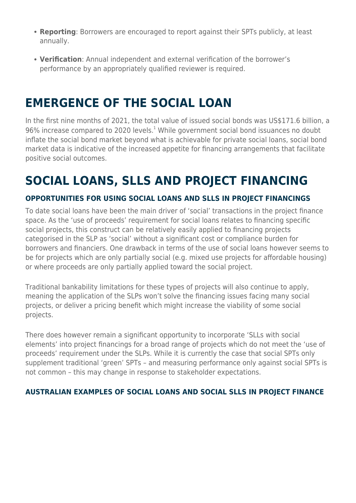- **Reporting**: Borrowers are encouraged to report against their SPTs publicly, at least annually.
- **Verification**: Annual independent and external verification of the borrower's performance by an appropriately qualified reviewer is required.

### **EMERGENCE OF THE SOCIAL LOAN**

In the first nine months of 2021, the total value of issued social bonds was US\$171.6 billion, a 96% increase compared to 2020 levels. $^{1}$  While government social bond issuances no doubt inflate the social bond market beyond what is achievable for private social loans, social bond market data is indicative of the increased appetite for financing arrangements that facilitate positive social outcomes.

# **SOCIAL LOANS, SLLS AND PROJECT FINANCING**

#### **OPPORTUNITIES FOR USING SOCIAL LOANS AND SLLS IN PROJECT FINANCINGS**

To date social loans have been the main driver of 'social' transactions in the project finance space. As the 'use of proceeds' requirement for social loans relates to financing specific social projects, this construct can be relatively easily applied to financing projects categorised in the SLP as 'social' without a significant cost or compliance burden for borrowers and financiers. One drawback in terms of the use of social loans however seems to be for projects which are only partially social (e.g. mixed use projects for affordable housing) or where proceeds are only partially applied toward the social project.

Traditional bankability limitations for these types of projects will also continue to apply, meaning the application of the SLPs won't solve the financing issues facing many social projects, or deliver a pricing benefit which might increase the viability of some social projects.

There does however remain a significant opportunity to incorporate 'SLLs with social elements' into project financings for a broad range of projects which do not meet the 'use of proceeds' requirement under the SLPs. While it is currently the case that social SPTs only supplement traditional 'green' SPTs – and measuring performance only against social SPTs is not common – this may change in response to stakeholder expectations.

#### **AUSTRALIAN EXAMPLES OF SOCIAL LOANS AND SOCIAL SLLS IN PROJECT FINANCE**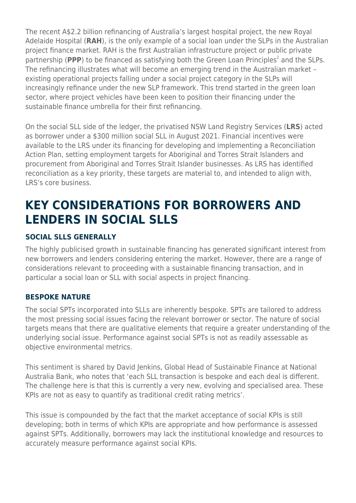The recent A\$2.2 billion refinancing of Australia's largest hospital project, the new Royal Adelaide Hospital (**RAH**), is the only example of a social loan under the SLPs in the Australian project finance market. RAH is the first Australian infrastructure project or public private partnership (PPP) to be financed as satisfying both the Green Loan Principles<sup>2</sup> and the SLPs. The refinancing illustrates what will become an emerging trend in the Australian market – existing operational projects falling under a social project category in the SLPs will increasingly refinance under the new SLP framework. This trend started in the green loan sector, where project vehicles have been keen to position their financing under the sustainable finance umbrella for their first refinancing.

On the social SLL side of the ledger, the privatised NSW Land Registry Services (**LRS**) acted as borrower under a \$300 million social SLL in August 2021. Financial incentives were available to the LRS under its financing for developing and implementing a Reconciliation Action Plan, setting employment targets for Aboriginal and Torres Strait Islanders and procurement from Aboriginal and Torres Strait Islander businesses. As LRS has identified reconciliation as a key priority, these targets are material to, and intended to align with, LRS's core business.

### **KEY CONSIDERATIONS FOR BORROWERS AND LENDERS IN SOCIAL SLLS**

#### **SOCIAL SLLS GENERALLY**

The highly publicised growth in sustainable financing has generated significant interest from new borrowers and lenders considering entering the market. However, there are a range of considerations relevant to proceeding with a sustainable financing transaction, and in particular a social loan or SLL with social aspects in project financing.

#### **BESPOKE NATURE**

The social SPTs incorporated into SLLs are inherently bespoke. SPTs are tailored to address the most pressing social issues facing the relevant borrower or sector. The nature of social targets means that there are qualitative elements that require a greater understanding of the underlying social issue. Performance against social SPTs is not as readily assessable as objective environmental metrics.

This sentiment is shared by David Jenkins, Global Head of Sustainable Finance at National Australia Bank, who notes that 'each SLL transaction is bespoke and each deal is different. The challenge here is that this is currently a very new, evolving and specialised area. These KPIs are not as easy to quantify as traditional credit rating metrics'.

This issue is compounded by the fact that the market acceptance of social KPIs is still developing; both in terms of which KPIs are appropriate and how performance is assessed against SPTs. Additionally, borrowers may lack the institutional knowledge and resources to accurately measure performance against social KPIs.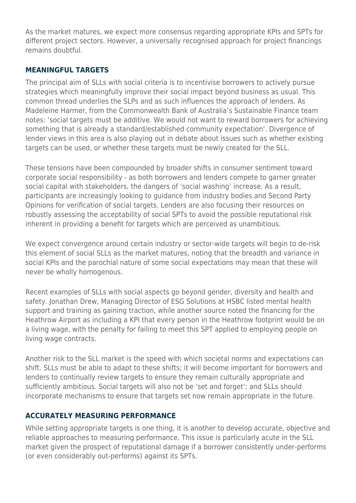As the market matures, we expect more consensus regarding appropriate KPIs and SPTs for different project sectors. However, a universally recognised approach for project financings remains doubtful.

#### **MEANINGFUL TARGETS**

The principal aim of SLLs with social criteria is to incentivise borrowers to actively pursue strategies which meaningfully improve their social impact beyond business as usual. This common thread underlies the SLPs and as such influences the approach of lenders. As Madeleine Harmer, from the Commonwealth Bank of Australia's Sustainable Finance team notes: 'social targets must be additive. We would not want to reward borrowers for achieving something that is already a standard/established community expectation'. Divergence of lender views in this area is also playing out in debate about issues such as whether existing targets can be used, or whether these targets must be newly created for the SLL.

These tensions have been compounded by broader shifts in consumer sentiment toward corporate social responsibility - as both borrowers and lenders compete to garner greater social capital with stakeholders, the dangers of 'social washing' increase. As a result, participants are increasingly looking to guidance from industry bodies and Second Party Opinions for verification of social targets. Lenders are also focusing their resources on robustly assessing the acceptability of social SPTs to avoid the possible reputational risk inherent in providing a benefit for targets which are perceived as unambitious.

We expect convergence around certain industry or sector-wide targets will begin to de-risk this element of social SLLs as the market matures, noting that the breadth and variance in social KPIs and the parochial nature of some social expectations may mean that these will never be wholly homogenous.

Recent examples of SLLs with social aspects go beyond gender, diversity and health and safety. Jonathan Drew, Managing Director of ESG Solutions at HSBC listed mental health support and training as gaining traction, while another source noted the financing for the Heathrow Airport as including a KPI that every person in the Heathrow footprint would be on a living wage, with the penalty for failing to meet this SPT applied to employing people on living wage contracts.

Another risk to the SLL market is the speed with which societal norms and expectations can shift. SLLs must be able to adapt to these shifts; it will become important for borrowers and lenders to continually review targets to ensure they remain culturally appropriate and sufficiently ambitious. Social targets will also not be 'set and forget'; and SLLs should incorporate mechanisms to ensure that targets set now remain appropriate in the future.

#### **ACCURATELY MEASURING PERFORMANCE**

While setting appropriate targets is one thing, it is another to develop accurate, objective and reliable approaches to measuring performance. This issue is particularly acute in the SLL market given the prospect of reputational damage if a borrower consistently under-performs (or even considerably out-performs) against its SPTs.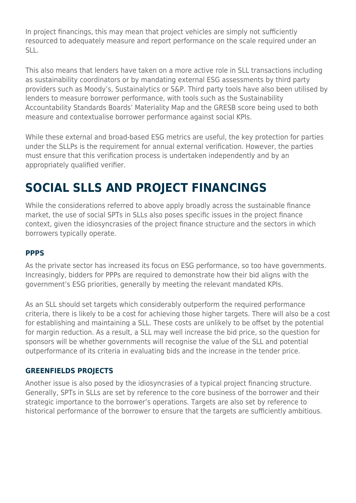In project financings, this may mean that project vehicles are simply not sufficiently resourced to adequately measure and report performance on the scale required under an SLL.

This also means that lenders have taken on a more active role in SLL transactions including as sustainability coordinators or by mandating external ESG assessments by third party providers such as Moody's, Sustainalytics or S&P. Third party tools have also been utilised by lenders to measure borrower performance, with tools such as the Sustainability Accountability Standards Boards' Materiality Map and the GRESB score being used to both measure and contextualise borrower performance against social KPIs.

While these external and broad-based ESG metrics are useful, the key protection for parties under the SLLPs is the requirement for annual external verification. However, the parties must ensure that this verification process is undertaken independently and by an appropriately qualified verifier.

# **SOCIAL SLLS AND PROJECT FINANCINGS**

While the considerations referred to above apply broadly across the sustainable finance market, the use of social SPTs in SLLs also poses specific issues in the project finance context, given the idiosyncrasies of the project finance structure and the sectors in which borrowers typically operate.

#### **PPPS**

As the private sector has increased its focus on ESG performance, so too have governments. Increasingly, bidders for PPPs are required to demonstrate how their bid aligns with the government's ESG priorities, generally by meeting the relevant mandated KPIs.

As an SLL should set targets which considerably outperform the required performance criteria, there is likely to be a cost for achieving those higher targets. There will also be a cost for establishing and maintaining a SLL. These costs are unlikely to be offset by the potential for margin reduction. As a result, a SLL may well increase the bid price, so the question for sponsors will be whether governments will recognise the value of the SLL and potential outperformance of its criteria in evaluating bids and the increase in the tender price.

#### **GREENFIELDS PROJECTS**

Another issue is also posed by the idiosyncrasies of a typical project financing structure. Generally, SPTs in SLLs are set by reference to the core business of the borrower and their strategic importance to the borrower's operations. Targets are also set by reference to historical performance of the borrower to ensure that the targets are sufficiently ambitious.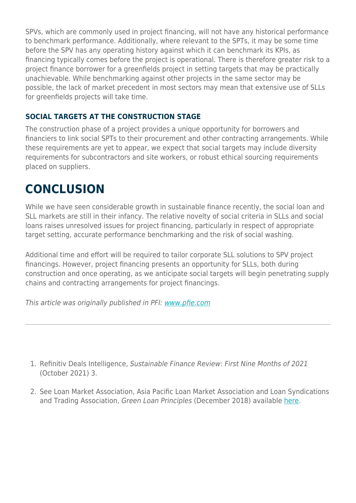SPVs, which are commonly used in project financing, will not have any historical performance to benchmark performance. Additionally, where relevant to the SPTs, it may be some time before the SPV has any operating history against which it can benchmark its KPIs, as financing typically comes before the project is operational. There is therefore greater risk to a project finance borrower for a greenfields project in setting targets that may be practically unachievable. While benchmarking against other projects in the same sector may be possible, the lack of market precedent in most sectors may mean that extensive use of SLLs for greenfields projects will take time.

#### **SOCIAL TARGETS AT THE CONSTRUCTION STAGE**

The construction phase of a project provides a unique opportunity for borrowers and financiers to link social SPTs to their procurement and other contracting arrangements. While these requirements are yet to appear, we expect that social targets may include diversity requirements for subcontractors and site workers, or robust ethical sourcing requirements placed on suppliers.

# **CONCLUSION**

While we have seen considerable growth in sustainable finance recently, the social loan and SLL markets are still in their infancy. The relative novelty of social criteria in SLLs and social loans raises unresolved issues for project financing, particularly in respect of appropriate target setting, accurate performance benchmarking and the risk of social washing.

Additional time and effort will be required to tailor corporate SLL solutions to SPV project financings. However, project financing presents an opportunity for SLLs, both during construction and once operating, as we anticipate social targets will begin penetrating supply chains and contracting arrangements for project financings.

This article was originally published in PFI: [www.pfie.com](http://www.pfie.com)

- 1. Refinitiv Deals Intelligence, Sustainable Finance Review: First Nine Months of 2021 (October 2021) 3.
- 2. See Loan Market Association, Asia Pacific Loan Market Association and Loan Syndications and Trading Association, Green Loan Principles (December 2018) available [here.](https://www.lma.eu.com/application/files/9115/4452/5458/741_LM_Green_Loan_Principles_Booklet_V8.pdf)